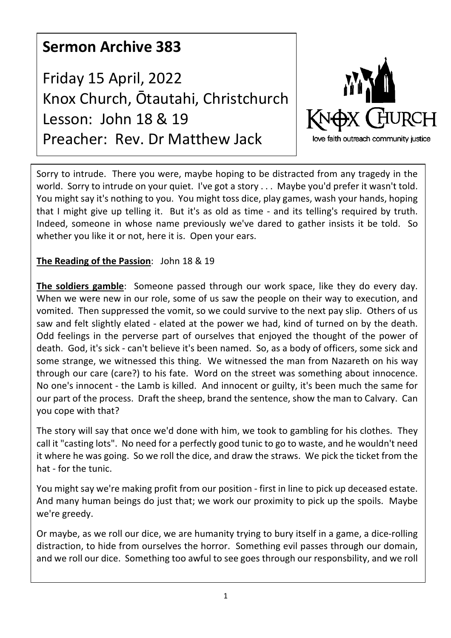## **Sermon Archive 383**

Friday 15 April, 2022 Knox Church, Ōtautahi, Christchurch Lesson: John 18 & 19 Preacher: Rev. Dr Matthew Jack



Sorry to intrude. There you were, maybe hoping to be distracted from any tragedy in the world. Sorry to intrude on your quiet. I've got a story . . . Maybe you'd prefer it wasn't told. You might say it's nothing to you. You might toss dice, play games, wash your hands, hoping that I might give up telling it. But it's as old as time - and its telling's required by truth. Indeed, someone in whose name previously we've dared to gather insists it be told. So whether you like it or not, here it is. Open your ears.

## **The Reading of the Passion**: John 18 & 19

**The soldiers gamble**: Someone passed through our work space, like they do every day. When we were new in our role, some of us saw the people on their way to execution, and vomited. Then suppressed the vomit, so we could survive to the next pay slip. Others of us saw and felt slightly elated - elated at the power we had, kind of turned on by the death. Odd feelings in the perverse part of ourselves that enjoyed the thought of the power of death. God, it's sick - can't believe it's been named. So, as a body of officers, some sick and some strange, we witnessed this thing. We witnessed the man from Nazareth on his way through our care (care?) to his fate. Word on the street was something about innocence. No one's innocent - the Lamb is killed. And innocent or guilty, it's been much the same for our part of the process. Draft the sheep, brand the sentence, show the man to Calvary. Can you cope with that?

The story will say that once we'd done with him, we took to gambling for his clothes. They call it "casting lots". No need for a perfectly good tunic to go to waste, and he wouldn't need it where he was going. So we roll the dice, and draw the straws. We pick the ticket from the hat - for the tunic.

You might say we're making profit from our position - first in line to pick up deceased estate. And many human beings do just that; we work our proximity to pick up the spoils. Maybe we're greedy.

Or maybe, as we roll our dice, we are humanity trying to bury itself in a game, a dice-rolling distraction, to hide from ourselves the horror. Something evil passes through our domain, and we roll our dice. Something too awful to see goes through our responsbility, and we roll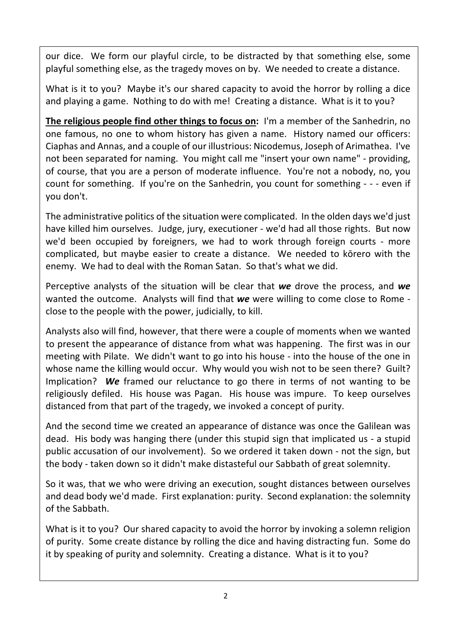our dice. We form our playful circle, to be distracted by that something else, some playful something else, as the tragedy moves on by. We needed to create a distance.

What is it to you? Maybe it's our shared capacity to avoid the horror by rolling a dice and playing a game. Nothing to do with me! Creating a distance. What is it to you?

**The religious people find other things to focus on:** I'm a member of the Sanhedrin, no one famous, no one to whom history has given a name. History named our officers: Ciaphas and Annas, and a couple of our illustrious: Nicodemus, Joseph of Arimathea. I've not been separated for naming. You might call me "insert your own name" - providing, of course, that you are a person of moderate influence. You're not a nobody, no, you count for something. If you're on the Sanhedrin, you count for something - - - even if you don't.

The administrative politics of the situation were complicated. In the olden days we'd just have killed him ourselves. Judge, jury, executioner - we'd had all those rights. But now we'd been occupied by foreigners, we had to work through foreign courts - more complicated, but maybe easier to create a distance. We needed to kōrero with the enemy. We had to deal with the Roman Satan. So that's what we did.

Perceptive analysts of the situation will be clear that *we* drove the process, and *we* wanted the outcome. Analysts will find that *we* were willing to come close to Rome close to the people with the power, judicially, to kill.

Analysts also will find, however, that there were a couple of moments when we wanted to present the appearance of distance from what was happening. The first was in our meeting with Pilate. We didn't want to go into his house - into the house of the one in whose name the killing would occur. Why would you wish not to be seen there? Guilt? Implication? *We* framed our reluctance to go there in terms of not wanting to be religiously defiled. His house was Pagan. His house was impure. To keep ourselves distanced from that part of the tragedy, we invoked a concept of purity.

And the second time we created an appearance of distance was once the Galilean was dead. His body was hanging there (under this stupid sign that implicated us - a stupid public accusation of our involvement). So we ordered it taken down - not the sign, but the body - taken down so it didn't make distasteful our Sabbath of great solemnity.

So it was, that we who were driving an execution, sought distances between ourselves and dead body we'd made. First explanation: purity. Second explanation: the solemnity of the Sabbath.

What is it to you? Our shared capacity to avoid the horror by invoking a solemn religion of purity. Some create distance by rolling the dice and having distracting fun. Some do it by speaking of purity and solemnity. Creating a distance. What is it to you?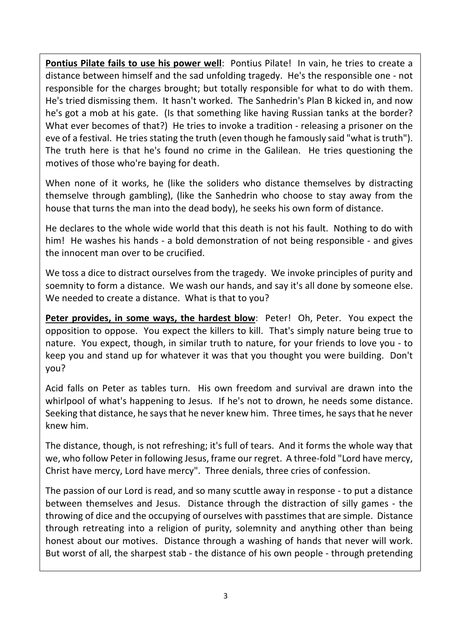Pontius Pilate fails to use his power well: Pontius Pilate! In vain, he tries to create a distance between himself and the sad unfolding tragedy. He's the responsible one - not responsible for the charges brought; but totally responsible for what to do with them. He's tried dismissing them. It hasn't worked. The Sanhedrin's Plan B kicked in, and now he's got a mob at his gate. (Is that something like having Russian tanks at the border? What ever becomes of that?) He tries to invoke a tradition - releasing a prisoner on the eve of a festival. He tries stating the truth (even though he famously said "what is truth"). The truth here is that he's found no crime in the Galilean. He tries questioning the motives of those who're baying for death.

When none of it works, he (like the soliders who distance themselves by distracting themselve through gambling), (like the Sanhedrin who choose to stay away from the house that turns the man into the dead body), he seeks his own form of distance.

He declares to the whole wide world that this death is not his fault. Nothing to do with him! He washes his hands - a bold demonstration of not being responsible - and gives the innocent man over to be crucified.

We toss a dice to distract ourselves from the tragedy. We invoke principles of purity and soemnity to form a distance. We wash our hands, and say it's all done by someone else. We needed to create a distance. What is that to you?

**Peter provides, in some ways, the hardest blow**: Peter! Oh, Peter. You expect the opposition to oppose. You expect the killers to kill. That's simply nature being true to nature. You expect, though, in similar truth to nature, for your friends to love you - to keep you and stand up for whatever it was that you thought you were building. Don't you?

Acid falls on Peter as tables turn. His own freedom and survival are drawn into the whirlpool of what's happening to Jesus. If he's not to drown, he needs some distance. Seeking that distance, he says that he never knew him. Three times, he says that he never knew him.

The distance, though, is not refreshing; it's full of tears. And it forms the whole way that we, who follow Peter in following Jesus, frame our regret. A three-fold "Lord have mercy, Christ have mercy, Lord have mercy". Three denials, three cries of confession.

The passion of our Lord is read, and so many scuttle away in response - to put a distance between themselves and Jesus. Distance through the distraction of silly games - the throwing of dice and the occupying of ourselves with passtimes that are simple. Distance through retreating into a religion of purity, solemnity and anything other than being honest about our motives. Distance through a washing of hands that never will work. But worst of all, the sharpest stab - the distance of his own people - through pretending